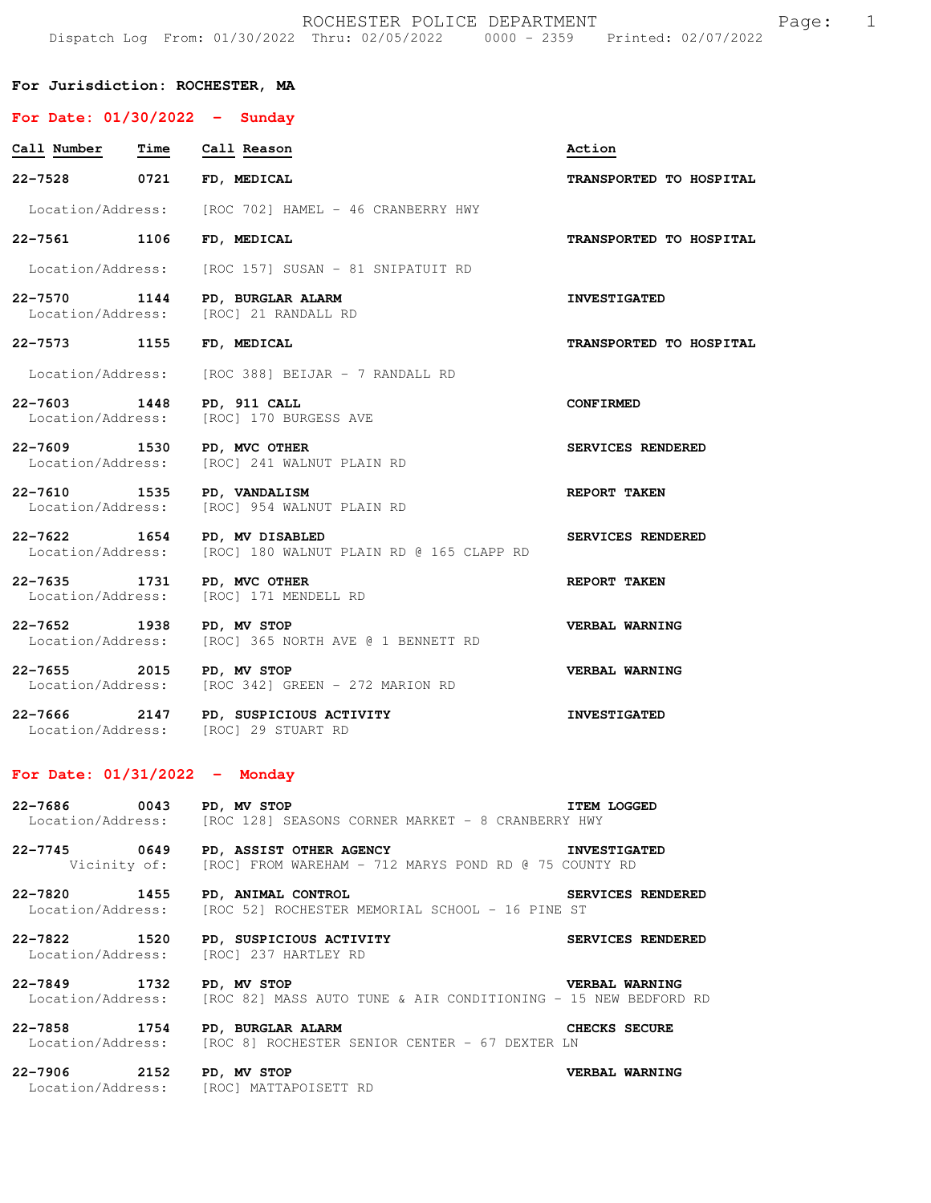ROCHESTER POLICE DEPARTMENT FOR Page: 1 Dispatch Log From: 01/30/2022 Thru: 02/05/2022 0000 - 2359 Printed: 02/07/2022

## **For Jurisdiction: ROCHESTER, MA**

| For Date: $01/30/2022 -$ Sunday                      |                                                                               |                         |
|------------------------------------------------------|-------------------------------------------------------------------------------|-------------------------|
| Call Number<br>Time                                  | Call Reason                                                                   | Action                  |
| 0721<br>22-7528                                      | FD, MEDICAL                                                                   | TRANSPORTED TO HOSPITAL |
| Location/Address:                                    | [ROC 702] HAMEL - 46 CRANBERRY HWY                                            |                         |
| 22-7561 1106                                         | FD, MEDICAL                                                                   | TRANSPORTED TO HOSPITAL |
| Location/Address:                                    | [ROC 157] SUSAN - 81 SNIPATUIT RD                                             |                         |
| 22-7570<br>1144<br>Location/Address:                 | PD, BURGLAR ALARM<br>[ROC] 21 RANDALL RD                                      | <b>INVESTIGATED</b>     |
| 22-7573<br>1155                                      | FD, MEDICAL                                                                   | TRANSPORTED TO HOSPITAL |
| Location/Address:                                    | [ROC 388] BEIJAR - 7 RANDALL RD                                               |                         |
| 22-7603 1448<br>Location/Address:                    | PD, 911 CALL<br>[ROC] 170 BURGESS AVE                                         | <b>CONFIRMED</b>        |
| 22-7609 1530<br>Location/Address:                    | PD, MVC OTHER<br>[ROC] 241 WALNUT PLAIN RD                                    | SERVICES RENDERED       |
| 22-7610 1535<br>Location/Address:                    | PD, VANDALISM<br>[ROC] 954 WALNUT PLAIN RD                                    | REPORT TAKEN            |
| 22-7622 1654                                         | PD, MV DISABLED<br>Location/Address: [ROC] 180 WALNUT PLAIN RD @ 165 CLAPP RD | SERVICES RENDERED       |
| 22-7635<br>1731<br>Location/Address:                 | PD, MVC OTHER<br>[ROC] 171 MENDELL RD                                         | REPORT TAKEN            |
| 22-7652 1938<br>Location/Address:                    | PD, MV STOP<br>[ROC] 365 NORTH AVE @ 1 BENNETT RD                             | VERBAL WARNING          |
| 22-7655<br>2015<br>Location/Address:                 | PD, MV STOP<br>[ROC 342] GREEN - 272 MARION RD                                | VERBAL WARNING          |
| 22-7666 2147<br>Location/Address: [ROC] 29 STUART RD | PD, SUSPICIOUS ACTIVITY                                                       | <b>INVESTIGATED</b>     |
| For Date: $01/31/2022 -$ Monday                      |                                                                               |                         |

**22-7686 0043 PD, MV STOP ITEM LOGGED**  Location/Address: [ROC 128] SEASONS CORNER MARKET - 8 CRANBERRY HWY

**22-7745 0649 PD, ASSIST OTHER AGENCY INVESTIGATED**<br>Vicinity of: [ROC] FROM WAREHAM - 712 MARYS POND RD @ 75 COUNTY RD [ROC] FROM WAREHAM - 712 MARYS POND RD @ 75 COUNTY RD

**22-7820 1455 PD, ANIMAL CONTROL SERVICES RENDERED**  Location/Address: [ROC 52] ROCHESTER MEMORIAL SCHOOL - 16 PINE ST

**22-7822 1520 PD, SUSPICIOUS ACTIVITY SERVICES RENDERED**  [ROC] 237 HARTLEY RD

**22-7849 1732 PD, MV STOP VERBAL WARNING**  [ROC 82] MASS AUTO TUNE & AIR CONDITIONING - 15 NEW BEDFORD RD

**22-7858 1754 PD, BURGLAR ALARM CHECKS SECURE**  Location/Address: [ROC 8] ROCHESTER SENIOR CENTER - 67 DEXTER LN

**22-7906 2152 PD, MV STOP VERBAL WARNING**  Location/Address: [ROC] MATTAPOISETT RD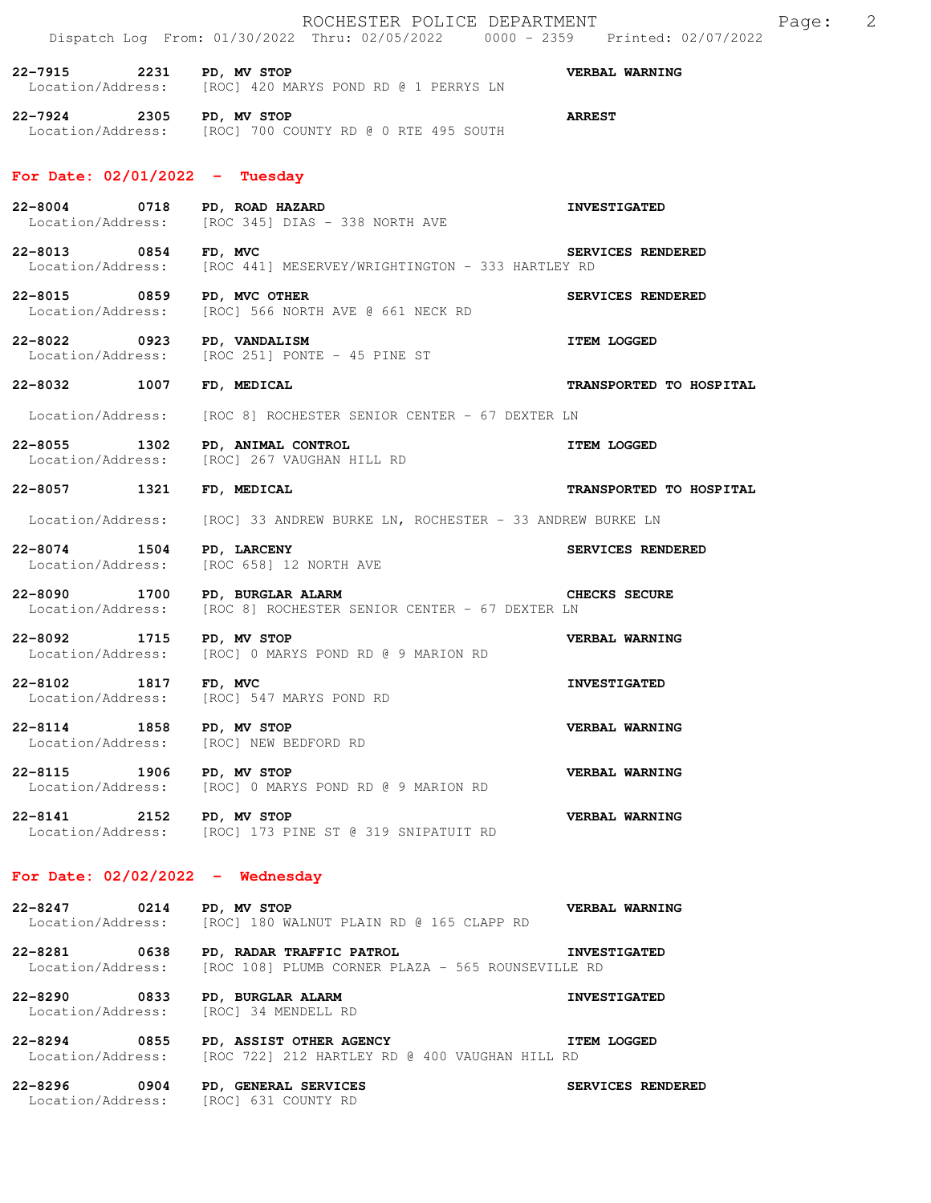|                                                 | ROCHESTER POLICE DEPARTMENT<br>Dispatch Log From: 01/30/2022 Thru: 02/05/2022 0000 - 2359 Printed: 02/07/2022              |                         | Page: | 2 |
|-------------------------------------------------|----------------------------------------------------------------------------------------------------------------------------|-------------------------|-------|---|
| 22-7915 2231 PD, MV STOP                        | Location/Address: [ROC] 420 MARYS POND RD @ 1 PERRYS LN                                                                    | VERBAL WARNING          |       |   |
| 22-7924 2305 PD, MV STOP                        | Location/Address: [ROC] 700 COUNTY RD @ 0 RTE 495 SOUTH                                                                    | <b>ARREST</b>           |       |   |
| For Date: $02/01/2022 - Tuesday$                |                                                                                                                            |                         |       |   |
|                                                 | 22-8004 0718 PD, ROAD HAZARD<br>Location/Address: [ROC 345] DIAS - 338 NORTH AVE                                           | <b>INVESTIGATED</b>     |       |   |
| 22-8013 0854 FD, MVC                            | Location/Address: [ROC 441] MESERVEY/WRIGHTINGTON - 333 HARTLEY RD                                                         | SERVICES RENDERED       |       |   |
| 22-8015 0859 PD, MVC OTHER<br>Location/Address: | [ROC] 566 NORTH AVE @ 661 NECK RD                                                                                          | SERVICES RENDERED       |       |   |
| 22-8022 0923 PD, VANDALISM                      | Location/Address: [ROC 251] PONTE - 45 PINE ST                                                                             | <b>ITEM LOGGED</b>      |       |   |
| 22-8032 1007 FD, MEDICAL                        |                                                                                                                            | TRANSPORTED TO HOSPITAL |       |   |
|                                                 | Location/Address: [ROC 8] ROCHESTER SENIOR CENTER - 67 DEXTER LN                                                           |                         |       |   |
|                                                 | 22-8055 1302 PD, ANIMAL CONTROL<br>Location/Address: [ROC] 267 VAUGHAN HILL RD                                             | <b>ITEM LOGGED</b>      |       |   |
| 22-8057 1321 FD, MEDICAL                        |                                                                                                                            | TRANSPORTED TO HOSPITAL |       |   |
|                                                 | Location/Address: [ROC] 33 ANDREW BURKE LN, ROCHESTER - 33 ANDREW BURKE LN                                                 |                         |       |   |
| 22-8074 1504<br>Location/Address:               | PD, LARCENY<br>[ROC 658] 12 NORTH AVE                                                                                      | SERVICES RENDERED       |       |   |
|                                                 | <b>CHECKS SECURE</b><br>22-8090 1700 PD, BURGLAR ALARM<br>Location/Address: [ROC 8] ROCHESTER SENIOR CENTER - 67 DEXTER LN |                         |       |   |
| 22-8092 1715 PD, MV STOP<br>Location/Address:   | [ROC] 0 MARYS POND RD @ 9 MARION RD                                                                                        | VERBAL WARNING          |       |   |
| 1817<br>22-8102                                 | FD, MVC<br>Location/Address: [ROC] 547 MARYS POND RD                                                                       | <b>INVESTIGATED</b>     |       |   |
| 22-8114 1858 PD, MV STOP                        | Location/Address: [ROC] NEW BEDFORD RD                                                                                     | VERBAL WARNING          |       |   |
| 22-8115 1906 PD, MV STOP                        | Location/Address: [ROC] 0 MARYS POND RD @ 9 MARION RD                                                                      | VERBAL WARNING          |       |   |
| 22-8141 2152 PD, MV STOP                        | Location/Address: [ROC] 173 PINE ST @ 319 SNIPATUIT RD                                                                     | <b>VERBAL WARNING</b>   |       |   |
| For Date: $02/02/2022 -$ Wednesday              |                                                                                                                            |                         |       |   |
| 22-8247 0214 PD, MV STOP                        | Location/Address: [ROC] 180 WALNUT PLAIN RD @ 165 CLAPP RD                                                                 | VERBAL WARNING          |       |   |
|                                                 | 22-8281 0638 PD, RADAR TRAFFIC PATROL 1NVESTIGATED<br>Location/Address: [ROC 108] PLUMB CORNER PLAZA - 565 ROUNSEVILLE RD  |                         |       |   |
|                                                 | 22-8290 0833 PD, BURGLAR ALARM<br>Location/Address: [ROC] 34 MENDELL RD                                                    | <b>INVESTIGATED</b>     |       |   |
|                                                 | 22-8294 0855 PD, ASSIST OTHER AGENCY<br>Location/Address: [ROC 722] 212 HARTLEY RD @ 400 VAUGHAN HILL RD                   | <b>ITEM LOGGED</b>      |       |   |
|                                                 | 22-8296 0904 PD, GENERAL SERVICES<br>Location/Address: [ROC] 631 COUNTY RD                                                 | SERVICES RENDERED       |       |   |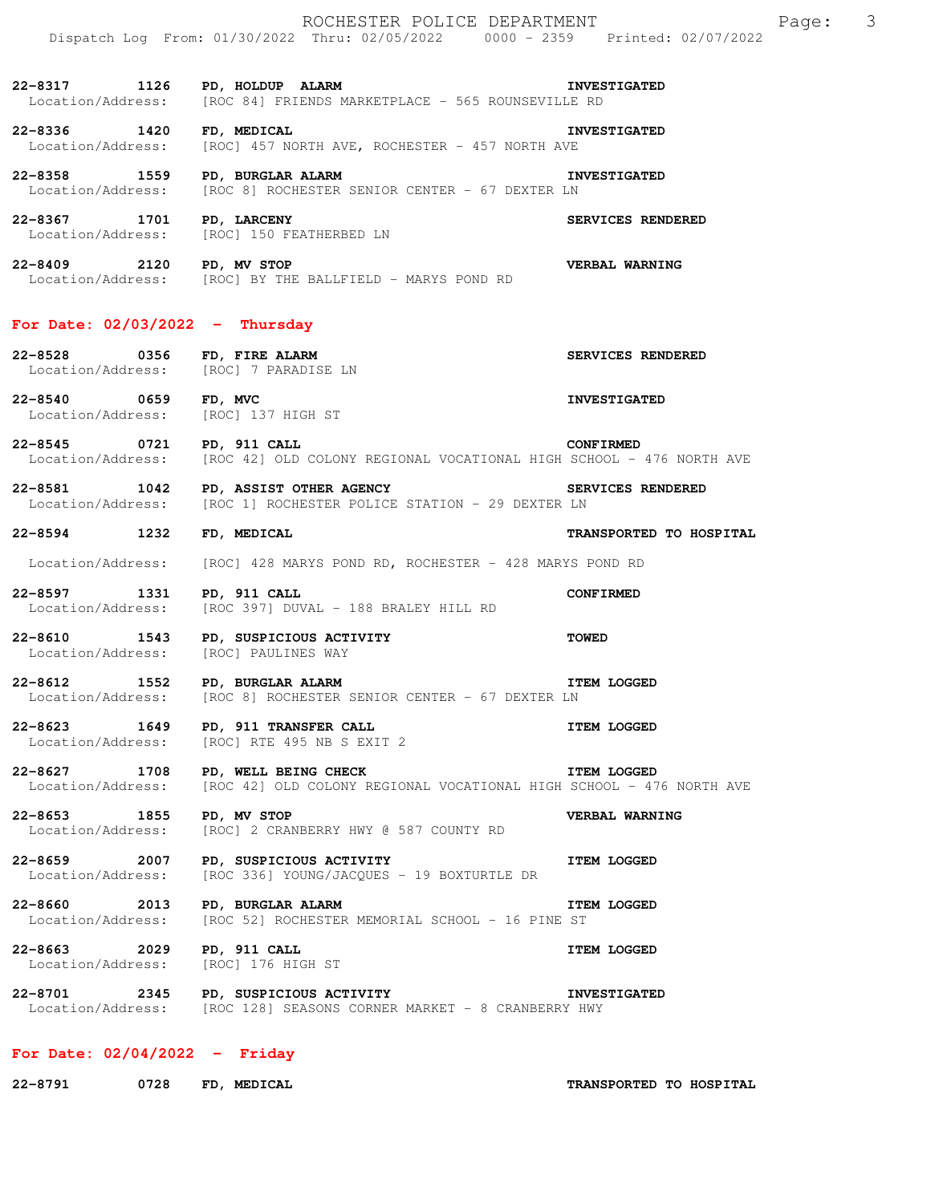**22-8317 1126 PD, HOLDUP ALARM INVESTIGATED**<br>Location/Address: [ROC 84] FRIENDS MARKETPLACE - 565 ROUNSEVILLE RD [ROC 84] FRIENDS MARKETPLACE - 565 ROUNSEVILLE RD

**22-8336 1420 FD, MEDICAL INVESTIGATED**  Location/Address: [ROC] 457 NORTH AVE, ROCHESTER - 457 NORTH AVE

**22-8358 1559 PD, BURGLAR ALARM INVESTIGATED**<br>Location/Address: [ROC 8] ROCHESTER SENIOR CENTER - 67 DEXTER LN [ROC 8] ROCHESTER SENIOR CENTER - 67 DEXTER LN

**22-8367 1701 PD, LARCENY SERVICES RENDERED**  Location/Address: [ROC] 150 FEATHERBED LN

**22-8409 2120 PD, MV STOP VERBAL WARNING**  Location/Address: [ROC] BY THE BALLFIELD - MARYS POND RD

## **For Date: 02/03/2022 - Thursday**

**22-8528 0356 FD, FIRE ALARM SERVICES RENDERED**  Location/Address: [ROC] 7 PARADISE LN

**22-8540 0659 FD, MVC INVESTIGATED**  Location/Address: [ROC] 137 HIGH ST

**22-8545 0721 PD, 911 CALL CONFIRMED**  Location/Address: [ROC 42] OLD COLONY REGIONAL VOCATIONAL HIGH SCHOOL - 476 NORTH AVE

**22-8581 1042 PD, ASSIST OTHER AGENCY SERVICES RENDERED**  Location/Address: [ROC 1] ROCHESTER POLICE STATION - 29 DEXTER LN

**22-8594 1232 FD, MEDICAL TRANSPORTED TO HOSPITAL** 

Location/Address: [ROC] 428 MARYS POND RD, ROCHESTER - 428 MARYS POND RD

**22-8597 1331 PD, 911 CALL CONFIRMED**  Location/Address: [ROC 397] DUVAL - 188 BRALEY HILL RD

**22-8610 1543 PD, SUSPICIOUS ACTIVITY TOWED**  Location/Address: [ROC] PAULINES WAY

**22-8612 1552** PD, BURGLAR ALARM **ITEM LOGGED** Location/Address: [ROC 8] ROCHESTER SENIOR CENTER - 67 DEXTER LN

**22-8623 1649 PD, 911 TRANSFER CALL 17EM LOGGED** Location/Address: [ROC] RTE 495 NB S EXIT 2 [ROC] RTE 495 NB S EXIT 2

**22-8627 1708 PD, WELL BEING CHECK ITEM LOGGED** Location/Address: [ROC 42] OLD COLONY REGIONAL VOCATIONAL HIGH SCHOOL - 476 NORTH AVE

**22-8653 1855 PD, MV STOP VERBAL WARNING**  Location/Address: [ROC] 2 CRANBERRY HWY @ 587 COUNTY RD

**22-8659 2007 PD, SUSPICIOUS ACTIVITY ITEM LOGGED**  Location/Address: [ROC 336] YOUNG/JACQUES - 19 BOXTURTLE DR

**22-8660** 2013 PD, BURGLAR ALARM **ITEM LOGGED** Location/Address: [ROC 52] ROCHESTER MEMORIAL SCHOOL - 16 PINE ST

**22-8663 2029 PD, 911 CALL ITEM LOGGED**  Location/Address: [ROC] 176 HIGH ST

**22-8701 2345 PD, SUSPICIOUS ACTIVITY INVESTIGATED** Location/Address: [ROC 128] SEASONS CORNER MARKET - 8 CRANBERRY HWY [ROC 128] SEASONS CORNER MARKET - 8 CRANBERRY HWY

## **For Date: 02/04/2022 - Friday**

**22-8791 0728 FD, MEDICAL TRANSPORTED TO HOSPITAL**